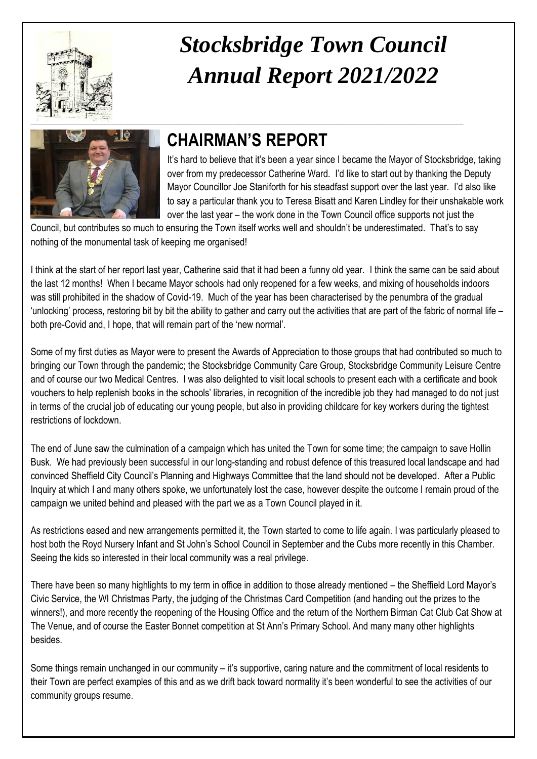

# *Stocksbridge Town Council Annual Report 2021/2022*



## **CHAIRMAN'S REPORT**

It's hard to believe that it's been a year since I became the Mayor of Stocksbridge, taking over from my predecessor Catherine Ward. I'd like to start out by thanking the Deputy Mayor Councillor Joe Staniforth for his steadfast support over the last year. I'd also like to say a particular thank you to Teresa Bisatt and Karen Lindley for their unshakable work over the last year – the work done in the Town Council office supports not just the

Council, but contributes so much to ensuring the Town itself works well and shouldn't be underestimated. That's to say nothing of the monumental task of keeping me organised!

I think at the start of her report last year, Catherine said that it had been a funny old year. I think the same can be said about the last 12 months! When I became Mayor schools had only reopened for a few weeks, and mixing of households indoors was still prohibited in the shadow of Covid-19. Much of the year has been characterised by the penumbra of the gradual 'unlocking' process, restoring bit by bit the ability to gather and carry out the activities that are part of the fabric of normal life – both pre-Covid and, I hope, that will remain part of the 'new normal'.

Some of my first duties as Mayor were to present the Awards of Appreciation to those groups that had contributed so much to bringing our Town through the pandemic; the Stocksbridge Community Care Group, Stocksbridge Community Leisure Centre and of course our two Medical Centres. I was also delighted to visit local schools to present each with a certificate and book vouchers to help replenish books in the schools' libraries, in recognition of the incredible job they had managed to do not just in terms of the crucial job of educating our young people, but also in providing childcare for key workers during the tightest restrictions of lockdown.

The end of June saw the culmination of a campaign which has united the Town for some time; the campaign to save Hollin Busk. We had previously been successful in our long-standing and robust defence of this treasured local landscape and had convinced Sheffield City Council's Planning and Highways Committee that the land should not be developed. After a Public Inquiry at which I and many others spoke, we unfortunately lost the case, however despite the outcome I remain proud of the campaign we united behind and pleased with the part we as a Town Council played in it.

As restrictions eased and new arrangements permitted it, the Town started to come to life again. I was particularly pleased to host both the Royd Nursery Infant and St John's School Council in September and the Cubs more recently in this Chamber. Seeing the kids so interested in their local community was a real privilege.

There have been so many highlights to my term in office in addition to those already mentioned – the Sheffield Lord Mayor's Civic Service, the WI Christmas Party, the judging of the Christmas Card Competition (and handing out the prizes to the winners!), and more recently the reopening of the Housing Office and the return of the Northern Birman Cat Club Cat Show at The Venue, and of course the Easter Bonnet competition at St Ann's Primary School. And many many other highlights besides.

Some things remain unchanged in our community – it's supportive, caring nature and the commitment of local residents to their Town are perfect examples of this and as we drift back toward normality it's been wonderful to see the activities of our community groups resume.